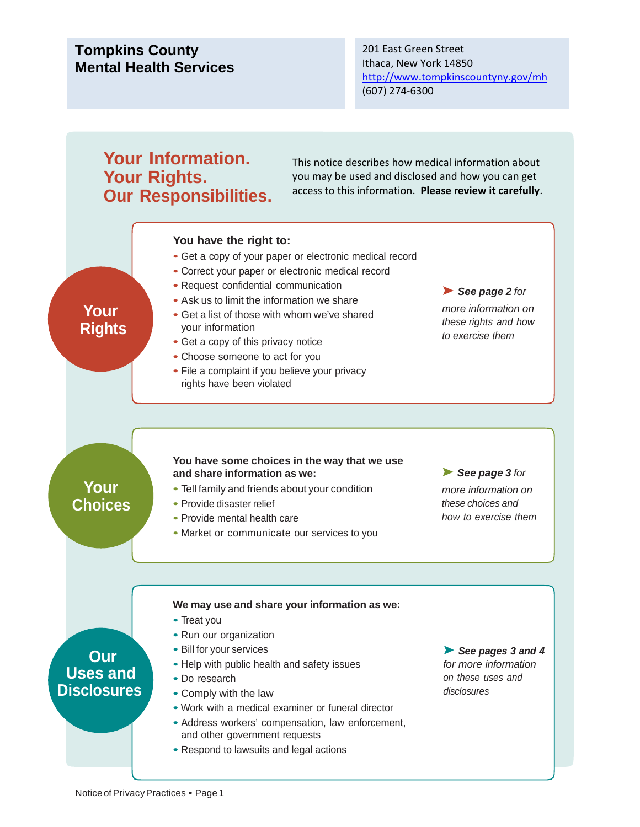## **Tompkins County Mental Health Services**

201 East Green Street Ithaca, New York 14850 <http://www.tompkinscountyny.gov/mh> (607) 274‐6300

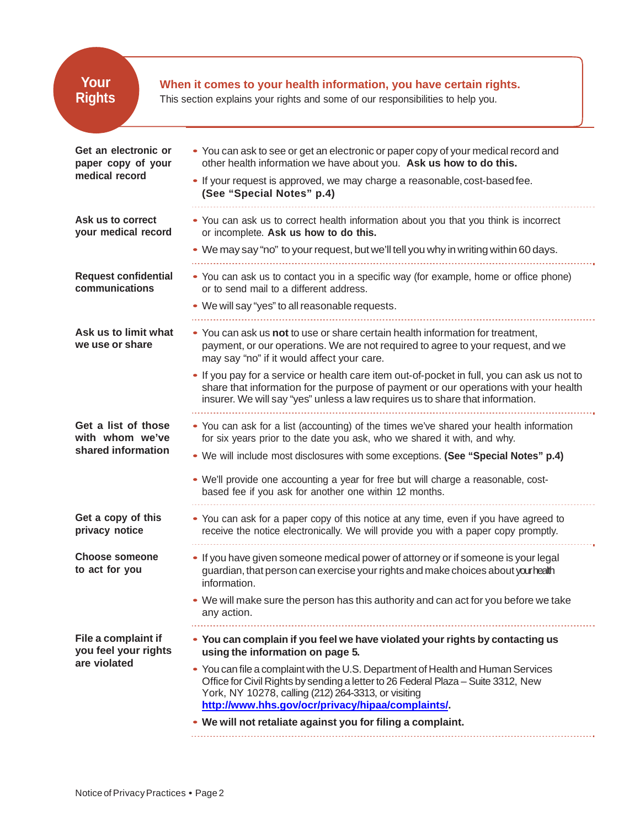| Your<br>When it comes to your health information, you have certain rights.<br><b>Rights</b><br>This section explains your rights and some of our responsibilities to help you. |                                                                                                                                                                                                                                                                                                                                                                                                                      |  |  |
|--------------------------------------------------------------------------------------------------------------------------------------------------------------------------------|----------------------------------------------------------------------------------------------------------------------------------------------------------------------------------------------------------------------------------------------------------------------------------------------------------------------------------------------------------------------------------------------------------------------|--|--|
| Get an electronic or<br>paper copy of your<br>medical record                                                                                                                   | • You can ask to see or get an electronic or paper copy of your medical record and<br>other health information we have about you. Ask us how to do this.<br>• If your request is approved, we may charge a reasonable, cost-based fee.<br>(See "Special Notes" p.4)                                                                                                                                                  |  |  |
| Ask us to correct<br>your medical record                                                                                                                                       | • You can ask us to correct health information about you that you think is incorrect<br>or incomplete. Ask us how to do this.<br>• We may say "no" to your request, but we'll tell you why in writing within 60 days.                                                                                                                                                                                                |  |  |
| <b>Request confidential</b><br>communications                                                                                                                                  | • You can ask us to contact you in a specific way (for example, home or office phone)<br>or to send mail to a different address.                                                                                                                                                                                                                                                                                     |  |  |
| Ask us to limit what<br>we use or share                                                                                                                                        | • We will say "yes" to all reasonable requests.<br>• You can ask us not to use or share certain health information for treatment,<br>payment, or our operations. We are not required to agree to your request, and we<br>may say "no" if it would affect your care.<br>• If you pay for a service or health care item out-of-pocket in full, you can ask us not to                                                   |  |  |
|                                                                                                                                                                                | share that information for the purpose of payment or our operations with your health<br>insurer. We will say "yes" unless a law requires us to share that information.                                                                                                                                                                                                                                               |  |  |
| Get a list of those<br>with whom we've<br>shared information                                                                                                                   | • You can ask for a list (accounting) of the times we've shared your health information<br>for six years prior to the date you ask, who we shared it with, and why.<br>• We will include most disclosures with some exceptions. (See "Special Notes" p.4)<br>• We'll provide one accounting a year for free but will charge a reasonable, cost-<br>based fee if you ask for another one within 12 months.            |  |  |
| Get a copy of this<br>privacy notice                                                                                                                                           | • You can ask for a paper copy of this notice at any time, even if you have agreed to<br>receive the notice electronically. We will provide you with a paper copy promptly.                                                                                                                                                                                                                                          |  |  |
| <b>Choose someone</b><br>to act for you                                                                                                                                        | . If you have given someone medical power of attorney or if someone is your legal<br>guardian, that person can exercise your rights and make choices about yourhealth<br>information.<br>• We will make sure the person has this authority and can act for you before we take                                                                                                                                        |  |  |
| File a complaint if<br>you feel your rights<br>are violated                                                                                                                    | any action.<br>• You can complain if you feel we have violated your rights by contacting us<br>using the information on page 5.<br>• You can file a complaint with the U.S. Department of Health and Human Services<br>Office for Civil Rights by sending a letter to 26 Federal Plaza - Suite 3312, New<br>York, NY 10278, calling (212) 264-3313, or visiting<br>http://www.hhs.gov/ocr/privacy/hipaa/complaints/. |  |  |
|                                                                                                                                                                                | • We will not retaliate against you for filing a complaint.                                                                                                                                                                                                                                                                                                                                                          |  |  |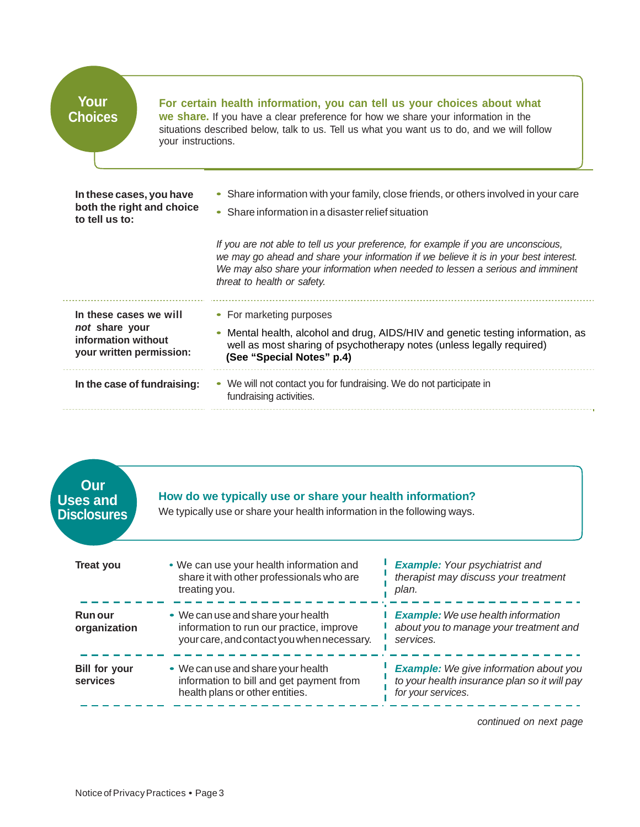| Your<br><b>Choices</b>                                                  | your instructions. | For certain health information, you can tell us your choices about what<br>we share. If you have a clear preference for how we share your information in the<br>situations described below, talk to us. Tell us what you want us to do, and we will follow                                     |
|-------------------------------------------------------------------------|--------------------|------------------------------------------------------------------------------------------------------------------------------------------------------------------------------------------------------------------------------------------------------------------------------------------------|
| In these cases, you have<br>both the right and choice<br>to tell us to: |                    | • Share information with your family, close friends, or others involved in your care<br>• Share information in a disaster relief situation                                                                                                                                                     |
|                                                                         |                    | If you are not able to tell us your preference, for example if you are unconscious,<br>we may go ahead and share your information if we believe it is in your best interest.<br>We may also share your information when needed to lessen a serious and imminent<br>threat to health or safety. |
| In these cases we will                                                  |                    | • For marketing purposes                                                                                                                                                                                                                                                                       |
| not share your<br>information without<br>your written permission:       |                    | Mental health, alcohol and drug, AIDS/HIV and genetic testing information, as<br>well as most sharing of psychotherapy notes (unless legally required)<br>(See "Special Notes" p.4)                                                                                                            |
| In the case of fundraising:                                             |                    | • We will not contact you for fundraising. We do not participate in<br>fundraising activities.                                                                                                                                                                                                 |



*continued on next page*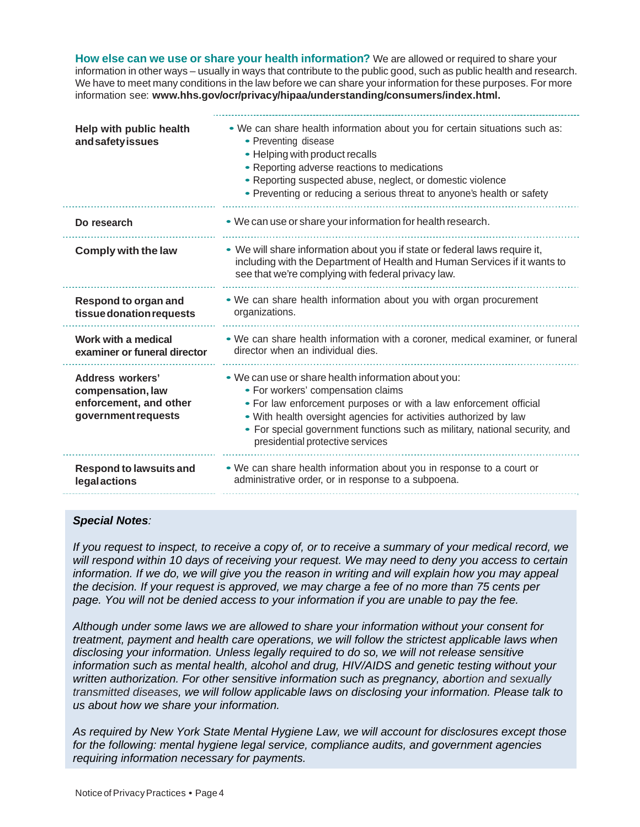**How else can we use or share your health information?** We are allowed or required to share your information in other ways – usually in ways that contribute to the public good, such as public health and research. We have to meet many conditions in the law before we can share your information for these purposes. For more information see: **[www.hhs.gov/ocr/privacy/hipaa/understanding/consumers/index.html](http://www.hhs.gov/ocr/privacy/hipaa/understanding/consumers/index.html).**

| Help with public health<br>andsafetyissues                                             | . We can share health information about you for certain situations such as:<br>• Preventing disease<br>• Helping with product recalls<br>• Reporting adverse reactions to medications<br>• Reporting suspected abuse, neglect, or domestic violence<br>• Preventing or reducing a serious threat to anyone's health or safety                          |
|----------------------------------------------------------------------------------------|--------------------------------------------------------------------------------------------------------------------------------------------------------------------------------------------------------------------------------------------------------------------------------------------------------------------------------------------------------|
| Do research                                                                            | • We can use or share your information for health research.                                                                                                                                                                                                                                                                                            |
| Comply with the law                                                                    | . We will share information about you if state or federal laws require it,<br>including with the Department of Health and Human Services if it wants to<br>see that we're complying with federal privacy law.                                                                                                                                          |
| Respond to organ and<br>tissue donation requests                                       | . We can share health information about you with organ procurement<br>organizations.                                                                                                                                                                                                                                                                   |
| Work with a medical<br>examiner or funeral director                                    | . We can share health information with a coroner, medical examiner, or funeral<br>director when an individual dies.                                                                                                                                                                                                                                    |
| Address workers'<br>compensation, law<br>enforcement, and other<br>government requests | . We can use or share health information about you:<br>• For workers' compensation claims<br>. For law enforcement purposes or with a law enforcement official<br>. With health oversight agencies for activities authorized by law<br>• For special government functions such as military, national security, and<br>presidential protective services |
| <b>Respond to lawsuits and</b><br>legalactions                                         | • We can share health information about you in response to a court or<br>administrative order, or in response to a subpoena.                                                                                                                                                                                                                           |

## *Special Notes:*

*If you request to inspect, to receive a copy of, or to receive a summary of your medical record, we will respond within 10 days of receiving your request. We may need to deny you access to certain information. If we do, we will give you the reason in writing and will explain how you may appeal the decision. If your request is approved, we may charge a fee of no more than 75 cents per page. You will not be denied access to your information if you are unable to pay the fee.* 

*Although under some laws we are allowed to share your information without your consent for treatment, payment and health care operations, we will follow the strictest applicable laws when disclosing your information. Unless legally required to do so, we will not release sensitive information such as mental health, alcohol and drug, HIV/AIDS and genetic testing without your written authorization. For other sensitive information such as pregnancy, abortion and sexually transmitted diseases, we will follow applicable laws on disclosing your information. Please talk to us about how we share your information.* 

*As required by New York State Mental Hygiene Law, we will account for disclosures except those for the following: mental hygiene legal service, compliance audits, and government agencies requiring information necessary for payments.*